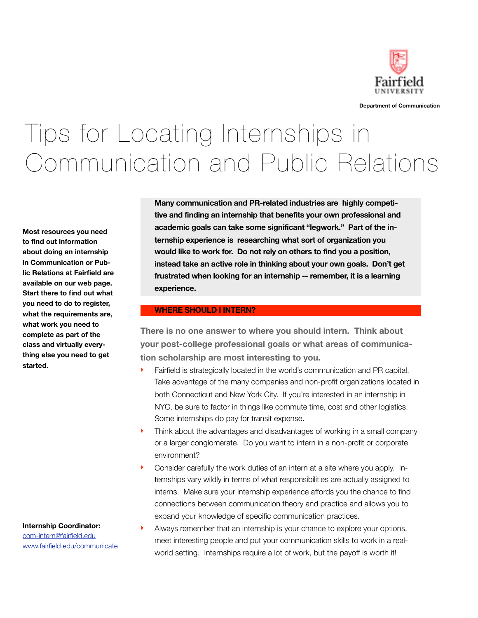

**Department of Communication**

# Tips for Locating Internships in Communication and Public Relations

**Most resources you need to find out information about doing an internship in Communication or Public Relations at Fairfield are available on our web page. Start there to find out what you need to do to register, what the requirements are, what work you need to complete as part of the class and virtually everything else you need to get started.**

**Internship Coordinator:** [com-intern@fairfield.edu](mailto:com-intern@fairfield.edu) [www.fairfield.edu/communicate](http://www.fairfield.edu/communicate) **Many communication and PR-related industries are highly competitive and finding an internship that benefits your own professional and academic goals can take some significant "legwork." Part of the internship experience is researching what sort of organization you would like to work for. Do not rely on others to find you a position, instead take an active role in thinking about your own goals. Don't get frustrated when looking for an internship -- remember, it is a learning experience.**

#### **WHERE SHOULD I INTERN?**

**There is no one answer to where you should intern. Think about your post-college professional goals or what areas of communication scholarship are most interesting to you.**

- Fairfield is strategically located in the world's communication and PR capital. Take advantage of the many companies and non-profit organizations located in both Connecticut and New York City. If you're interested in an internship in NYC, be sure to factor in things like commute time, cost and other logistics. Some internships do pay for transit expense.
- ‣ Think about the advantages and disadvantages of working in a small company or a larger conglomerate. Do you want to intern in a non-profit or corporate environment?
- ‣ Consider carefully the work duties of an intern at a site where you apply. Internships vary wildly in terms of what responsibilities are actually assigned to interns. Make sure your internship experience affords you the chance to find connections between communication theory and practice and allows you to expand your knowledge of specific communication practices.
- Always remember that an internship is your chance to explore your options, meet interesting people and put your communication skills to work in a realworld setting. Internships require a lot of work, but the payoff is worth it!